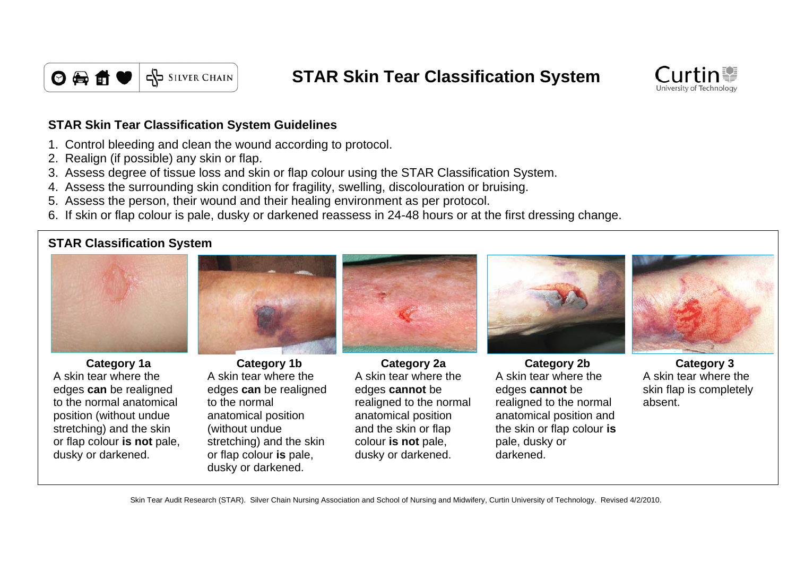

**STAR Skin Tear Classification System**



## **STAR Skin Tear Classification System Guidelines**

- 1. Control bleeding and clean the wound according to protocol.
- 2. Realign (if possible) any skin or flap.
- 3. Assess degree of tissue loss and skin or flap colour using the STAR Classification System.
- 4. Assess the surrounding skin condition for fragility, swelling, discolouration or bruising.
- 5. Assess the person, their wound and their healing environment as per protocol.
- 6. If skin or flap colour is pale, dusky or darkened reassess in 24-48 hours or at the first dressing change.

## **STAR Classification System**



A skin tear where the edges **can** be realigned to the normal anatomical position (without undue stretching) and the skin or flap colour **is not** pale, dusky or darkened.



A skin tear where the edges **can** be realigned to the normal anatomical position (without undue stretching) and the skin or flap colour **is** pale, dusky or darkened.



A skin tear where the edges **cannot** be realigned to the normal anatomical position and the skin or flap colour **is not** pale, dusky or darkened.





A skin tear where the skin flap is completely absent.

Skin Tear Audit Research (STAR). Silver Chain Nursing Association and School of Nursing and Midwifery, Curtin University of Technology. Revised 4/2/2010.